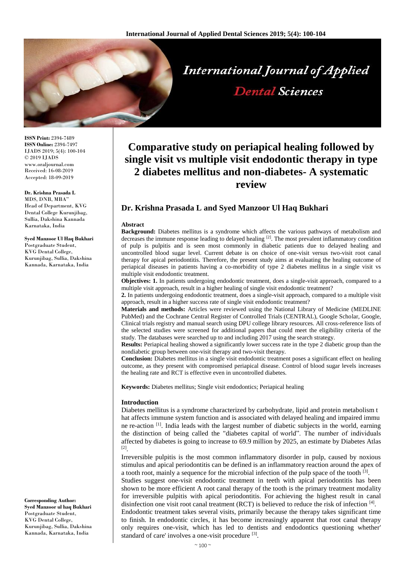

**ISSN Print:** 2394-7489 **ISSN Online:** 2394-7497 IJADS 2019; 5(4): 100-104 © 2019 IJADS www.oraljournal.com Received: 16-08-2019 Accepted: 18-09-2019

**Dr. Krishna Prasada L** MDS, DNB, MBA" Head of Department, KVG Dental College Kurunjibag, Sullia, Dakshina Kannada Karnataka, India

**Syed Manzoor Ul Haq Bukhari** Postgraduate Student. KVG Dental College, Kurunjibag, Sullia, Dakshina Kannada, Karnataka, India

**Corresponding Author: Syed Manzoor ul haq Bukhari** Postgraduate Student, KVG Dental College, Kurunjibag, Sullia, Dakshina Kannada, Karnataka, India

# **Comparative study on periapical healing followed by single visit vs multiple visit endodontic therapy in type 2 diabetes mellitus and non-diabetes- A systematic review**

# **Dr. Krishna Prasada L and Syed Manzoor Ul Haq Bukhari**

#### **Abstract**

**Background:** Diabetes mellitus is a syndrome which affects the various pathways of metabolism and decreases the immune response leading to delayed healing  $[2]$ . The most prevalent inflammatory condition of pulp is pulpitis and is seen most commonly in diabetic patients due to delayed healing and uncontrolled blood sugar level. Current debate is on choice of one-visit versus two-visit root canal therapy for apical periodontitis. Therefore, the present study aims at evaluating the healing outcome of periapical diseases in patients having a co-morbidity of type 2 diabetes mellitus in a single visit vs multiple visit endodontic treatment.

**Objectives: 1.** In patients undergoing endodontic treatment, does a single-visit approach, compared to a multiple visit approach, result in a higher healing of single visit endodontic treatment?

**2.** In patients undergoing endodontic treatment, does a single-visit approach, compared to a multiple visit approach, result in a higher success rate of single visit endodontic treatment?

**Materials and methods:** Articles were reviewed using the National Library of Medicine (MEDLINE PubMed) and the Cochrane Central Register of Controlled Trials (CENTRAL), Google Scholar, Google, Clinical trials registry and manual search using DPU college library resources. All cross-reference lists of the selected studies were screened for additional papers that could meet the eligibility criteria of the study. The databases were searched up to and including 2017 using the search strategy.

**Results:** Periapical healing showed a significantly lower success rate in the type 2 diabetic group than the nondiabetic group between one-visit therapy and two-visit therapy.

**Conclusion:** Diabetes mellitus in a single visit endodontic treatment poses a significant effect on healing outcome, as they present with compromised periapical disease. Control of blood sugar levels increases the healing rate and RCT is effective even in uncontrolled diabetes.

**Keywords:** Diabetes mellitus; Single visit endodontics; Periapical healing

### **Introduction**

Diabetes mellitus is a syndrome characterized by carbohydrate, lipid and protein metabolism t hat affects immune system function and is associated with delayed healing and impaired immu ne re-action  $\left[1\right]$ . India leads with the largest number of diabetic subjects in the world, earning the distinction of being called the "diabetes capital of world". The number of individuals affected by diabetes is going to increase to 69.9 million by 2025, an estimate by Diabetes Atlas [2] .

Irreversible pulpitis is the most common inflammatory disorder in pulp, caused by noxious stimulus and apical periodontitis can be defined is an inflammatory reaction around the apex of a tooth root, mainly a sequence for the microbial infection of the pulp space of the tooth  $[3]$ .

Studies suggest one-visit endodontic treatment in teeth with apical periodontitis has been shown to be more efficient A root canal therapy of the tooth is the primary treatment modality for irreversible pulpitis with apical periodontitis. For achieving the highest result in canal disinfection one visit root canal treatment (RCT) is believed to reduce the risk of infection [4].

Endodontic treatment takes several visits, primarily because the therapy takes significant time to finish. In endodontic circles, it has become increasingly apparent that root canal therapy only requires one-visit, which has led to dentists and endodontics questioning whether' standard of care' involves a one-visit procedure [3].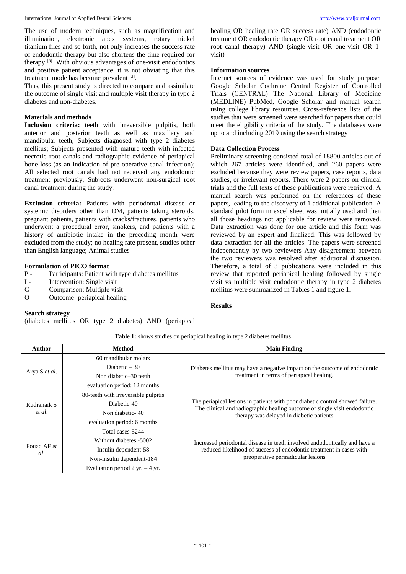International Journal of Applied Dental Sciences [http://www.oraljournal.com](http://www.oraljournal.com/)

The use of modern techniques, such as magnification and illumination, electronic apex systems, rotary nickel titanium files and so forth, not only increases the success rate of endodontic therapy but also shortens the time required for therapy <sup>[5]</sup>. With obvious advantages of one-visit endodontics and positive patient acceptance, it is not obviating that this treatment mode has become prevalent [3].

Thus, this present study is directed to compare and assimilate the outcome of single visit and multiple visit therapy in type 2 diabetes and non-diabetes.

### **Materials and methods**

**Inclusion criteria:** teeth with irreversible pulpitis, both anterior and posterior teeth as well as maxillary and mandibular teeth; Subjects diagnosed with type 2 diabetes mellitus; Subjects presented with mature teeth with infected necrotic root canals and radiographic evidence of periapical bone loss (as an indication of pre-operative canal infection); All selected root canals had not received any endodontic treatment previously; Subjects underwent non-surgical root canal treatment during the study.

**Exclusion criteria:** Patients with periodontal disease or systemic disorders other than DM, patients taking steroids, pregnant patients, patients with cracks/fractures, patients who underwent a procedural error, smokers, and patients with a history of antibiotic intake in the preceding month were excluded from the study; no healing rate present, studies other than English language; Animal studies

### **Formulation of PICO format**

- P Participants: Patient with type diabetes mellitus
- I Intervention: Single visit
- C Comparison: Multiple visit
- O Outcome- periapical healing

(diabetes mellitus OR type 2 diabetes) AND (periapical

healing OR healing rate OR success rate) AND (endodontic treatment OR endodontic therapy OR root canal treatment OR root canal therapy) AND (single-visit OR one-visit OR 1 visit)

## **Information sources**

Internet sources of evidence was used for study purpose: Google Scholar Cochrane Central Register of Controlled Trials (CENTRAL) The National Library of Medicine (MEDLINE) PubMed, Google Scholar and manual search using college library resources. Cross-reference lists of the studies that were screened were searched for papers that could meet the eligibility criteria of the study. The databases were up to and including 2019 using the search strategy

# **Data Collection Process**

Preliminary screening consisted total of 18800 articles out of which 267 articles were identified, and 260 papers were excluded because they were review papers, case reports, data studies, or irrelevant reports. There were 2 papers on clinical trials and the full texts of these publications were retrieved. A manual search was performed on the references of these papers, leading to the discovery of 1 additional publication. A standard pilot form in excel sheet was initially used and then all those headings not applicable for review were removed. Data extraction was done for one article and this form was reviewed by an expert and finalized. This was followed by data extraction for all the articles. The papers were screened independently by two reviewers Any disagreement between the two reviewers was resolved after additional discussion. Therefore, a total of 3 publications were included in this review that reported periapical healing followed by single visit vs multiple visit endodontic therapy in type 2 diabetes mellitus were summarized in Tables 1 and figure 1.

### **Results**

| Table 1: shows studies on periapical healing in type 2 diabetes mellitus |  |  |  |  |
|--------------------------------------------------------------------------|--|--|--|--|
|--------------------------------------------------------------------------|--|--|--|--|

| <b>Author</b>         | Method                              | <b>Main Finding</b>                                                                                                  |  |  |
|-----------------------|-------------------------------------|----------------------------------------------------------------------------------------------------------------------|--|--|
| Arya S et al.         | 60 mandibular molars                |                                                                                                                      |  |  |
|                       | Diabetic $-30$                      | Diabetes mellitus may have a negative impact on the outcome of endodontic                                            |  |  |
|                       | Non diabetic–30 teeth               | treatment in terms of periapical healing.                                                                            |  |  |
|                       | evaluation period: 12 months        |                                                                                                                      |  |  |
| Rudranaik S<br>et al. | 80-teeth with irreversible pulpitis | The periapical lesions in patients with poor diabetic control showed failure.                                        |  |  |
|                       | Diabetic-40                         |                                                                                                                      |  |  |
|                       | Non diabetic-40                     | The clinical and radiographic healing outcome of single visit endodontic<br>therapy was delayed in diabetic patients |  |  |
|                       | evaluation period: 6 months         |                                                                                                                      |  |  |
| Fouad AF et<br>al.    | Total cases-5244                    |                                                                                                                      |  |  |
|                       | Without diabetes -5002              | Increased periodontal disease in teeth involved endodontically and have a                                            |  |  |
|                       | Insulin dependent-58                | reduced likelihood of success of endodontic treatment in cases with                                                  |  |  |
|                       | Non-insulin dependent-184           | preoperative periradicular lesions                                                                                   |  |  |
|                       | Evaluation period 2 yr. $-4$ yr.    |                                                                                                                      |  |  |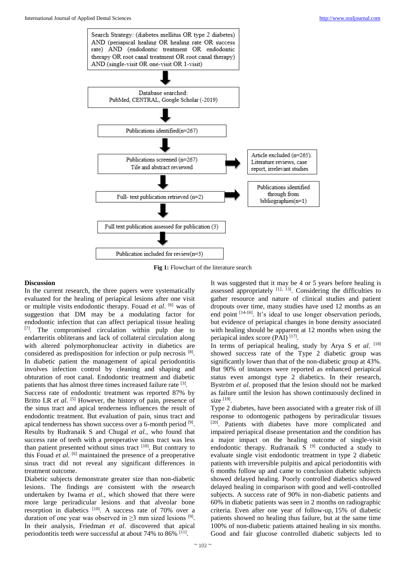

**Fig 1:** Flowchart of the literature search

### **Discussion**

In the current research, the three papers were systematically evaluated for the healing of periapical lesions after one visit or multiple visits endodontic therapy. Fouad *et al*. [6] was of suggestion that DM may be a modulating factor for endodontic infection that can affect periapical tissue healing [7] . The compromised circulation within pulp due to endarteritis obliterans and lack of collateral circulation along with altered polymorphonuclear activity in diabetics are considered as predisposition for infection or pulp necrosis [8]. In diabetic patient the management of apical periodontitis involves infection control by cleaning and shaping and obturation of root canal. Endodontic treatment and diabetic patients that has almost three times increased failure rate <sup>[3]</sup>.

Success rate of endodontic treatment was reported 87% by Britto LR *et al.* <sup>[5]</sup> However, the history of pain, presence of the sinus tract and apical tenderness influences the result of endodontic treatment. But evaluation of pain, sinus tract and apical tenderness has shown success over a 6-month period [9]. Results by Rudranaik S and Chugal *et al.*, who found that success rate of teeth with a preoperative sinus tract was less than patient presented without sinus tract <sup>[10]</sup>. But contrary to this Fouad *et al*. [6] maintained the presence of a preoperative sinus tract did not reveal any significant differences in treatment outcome.

Diabetic subjects demonstrate greater size than non-diabetic lesions. The findings are consistent with the research undertaken by Iwama *et al*., which showed that there were more large periradicular lesions and that alveolar bone resorption in diabetics <sup>[10]</sup>. A success rate of 70% over a duration of one year was observed in  $\geq$ 3 mm sized lesions <sup>[9]</sup>. In their analysis, Friedman *et al*. discovered that apical periodontitis teeth were successful at about 74% to 86% <sup>[11]</sup>.

It was suggested that it may be 4 or 5 years before healing is assessed appropriately  $[12, 13]$ . Considering the difficulties to gather resource and nature of clinical studies and patient dropouts over time, many studies have used 12 months as an end point [14-16]. It's ideal to use longer observation periods, but evidence of periapical changes in bone density associated with healing should be apparent at 12 months when using the periapical index score (PAI) [17].

In terms of periapical healing, study by Arya S *et al*. [18] showed success rate of the Type 2 diabetic group was significantly lower than that of the non-diabetic group at 43%. But 90% of instances were reported as enhanced periapical status even amongst type 2 diabetics. In their research, Byström *et al*. proposed that the lesion should not be marked as failure until the lesion has shown continuously declined in size [19] .

Type 2 diabetes, have been associated with a greater risk of ill response to odontogenic pathogens by periradicular tissues [20]. Patients with diabetes have more complicated and impaired periapical disease presentation and the condition has a major impact on the healing outcome of single-visit endodontic therapy. Rudranaik  $S^{[9]}$  conducted a study to evaluate single visit endodontic treatment in type 2 diabetic patients with irreversible pulpitis and apical periodontitis with 6 months follow up and came to conclusion diabetic subjects showed delayed healing. Poorly controlled diabetics showed delayed healing in comparison with good and well-controlled subjects. A success rate of 90% in non-diabetic patients and 60% in diabetic patients was seen in 2 months on radiographic criteria. Even after one year of follow-up, 15% of diabetic patients showed no healing thus failure, but at the same time 100% of non-diabetic patients attained healing in six months. Good and fair glucose controlled diabetic subjects led to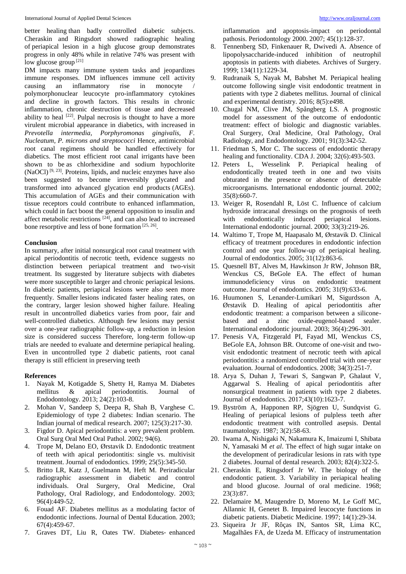better healing than badly controlled diabetic subjects. Cheraskin and Ringsdort showed radiographic healing of periapical lesion in a high glucose group demonstrates progress in only 48% while in relative 74% was present with low glucose group<sup>[21]</sup>

DM impacts many immune system tasks and jeopardizes immune responses. DM influences immune cell activity causing an inflammatory rise in monocyte polymorphonuclear leucocyte pro-inflammatory cytokines and decline in growth factors. This results in chronic inflammation, chronic destruction of tissue and decreased ability to heal  $[22]$ . Pulpal necrosis is thought to have a more virulent microbial appearance in diabetics, with increased in *Prevotella intermedia, Porphyromonas gingivalis, F. Nucleatum, P. microns and streptococci* Hence, antimicrobial root canal regimens should be handled effectively for diabetics. The most efficient root canal irrigants have been shown to be as chlorhexidine and sodium hypochlorite (NaOCl)<sup>[9, 23]</sup>. Proteins, lipids, and nucleic enzymes have also been suggested to become irreversibly glycated and transformed into advanced glycation end products (AGEs). This accumulation of AGEs and their communication with tissue receptors could contribute to enhanced inflammation, which could in fact boost the general opposition to insulin and affect metabolic restrictions <sup>[24]</sup>, and can also lead to increased bone resorptive and less of bone formation  $[25, 26]$ .

#### **Conclusion**

In summary, after initial nonsurgical root canal treatment with apical periodontitis of necrotic teeth, evidence suggests no distinction between periapical treatment and two-visit treatment. Its suggested by literature subjects with diabetes were more susceptible to larger and chronic periapical lesions. In diabetic patients, periapical lesions were also seen more frequently. Smaller lesions indicated faster healing rates, on the contrary, larger lesion showed higher failure. Healing result in uncontrolled diabetics varies from poor, fair and well-controlled diabetics. Although few lesions may persist over a one-year radiographic follow-up, a reduction in lesion size is considered success Therefore, long-term follow-up trials are needed to evaluate and determine periapical healing. Even in uncontrolled type 2 diabetic patients, root canal therapy is still efficient in preserving teeth

#### **References**

- 1. Nayak M, Kotigadde S, Shetty H, Ramya M. Diabetes mellitus & apical periodontitis. Journal of Endodontology. 2013; 24(2):103-8.
- 2. Mohan V, Sandeep S, Deepa R, Shah B, Varghese C. Epidemiology of type 2 diabetes: Indian scenario. The Indian journal of medical research. 2007; 125(3):217-30.
- 3. Figdor D. Apical periodontitis: a very prevalent problem. Oral Surg Oral Med Oral Pathol. 2002; 94(6).
- 4. Trope M, Delano EO, Ørstavik D. Endodontic treatment of teeth with apical periodontitis: single vs. multivisit treatment. Journal of endodontics. 1999; 25(5):345-50.
- 5. Britto LR, Katz J, Guelmann M, Heft M. Periradicular radiographic assessment in diabetic and control individuals. Oral Surgery, Oral Medicine, Oral Pathology, Oral Radiology, and Endodontology. 2003; 96(4):449-52.
- 6. Fouad AF. Diabetes mellitus as a modulating factor of endodontic infections. Journal of Dental Education. 2003; 67(4):459-67.
- 7. Graves DT, Liu R, Oates TW. Diabetes‐ enhanced

inflammation and apoptosis-impact on periodontal pathosis. Periodontology 2000. 2007; 45(1):128-37.

- 8. Tennenberg SD, Finkenauer R, Dwivedi A. Absence of lipopolysaccharide-induced inhibition of neutrophil apoptosis in patients with diabetes. Archives of Surgery. 1999; 134(11):1229-34.
- 9. Rudranaik S, Nayak M, Babshet M. Periapical healing outcome following single visit endodontic treatment in patients with type 2 diabetes mellitus. Journal of clinical and experimental dentistry. 2016; 8(5):e498.
- 10. Chugal NM, Clive JM, Spångberg LS. A prognostic model for assessment of the outcome of endodontic treatment: effect of biologic and diagnostic variables. Oral Surgery, Oral Medicine, Oral Pathology, Oral Radiology, and Endodontology. 2001; 91(3):342-52.
- 11. Friedman S, Mor C. The success of endodontic therapy healing and functionality. CDA J. 2004; 32(6):493-503.
- 12. Peters L, Wesselink P. Periapical healing of endodontically treated teeth in one and two visits obturated in the presence or absence of detectable microorganisms. International endodontic journal. 2002; 35(8):660-7.
- 13. Weiger R, Rosendahl R, Löst C. Influence of calcium hydroxide intracanal dressings on the prognosis of teeth with endodontically induced periapical lesions. International endodontic journal. 2000; 33(3):219-26.
- 14. Waltimo T, Trope M, Haapasalo M, Ørstavik D. Clinical efficacy of treatment procedures in endodontic infection control and one year follow-up of periapical healing. Journal of endodontics. 2005; 31(12):863-6.
- 15. Quesnell BT, Alves M, Hawkinson Jr RW, Johnson BR, Wenckus CS, BeGole EA. The effect of human immunodeficiency virus on endodontic treatment outcome. Journal of endodontics. 2005; 31(9):633-6.
- 16. Huumonen S, Lenander-Lumikari M, Sigurdsson A, Ørstavik D. Healing of apical periodontitis after endodontic treatment: a comparison between a siliconebased and a zinc oxide-eugenol-based sealer. International endodontic journal. 2003; 36(4):296-301.
- 17. Penesis VA, Fitzgerald PI, Fayad MI, Wenckus CS, BeGole EA, Johnson BR. Outcome of one-visit and twovisit endodontic treatment of necrotic teeth with apical periodontitis: a randomized controlled trial with one-year evaluation. Journal of endodontics. 2008; 34(3):251-7.
- 18. Arya S, Duhan J, Tewari S, Sangwan P, Ghalaut V, Aggarwal S. Healing of apical periodontitis after nonsurgical treatment in patients with type 2 diabetes. Journal of endodontics. 2017;43(10):1623-7.
- 19. Byström A, Happonen RP, Sjögren U, Sundqvist G. Healing of periapical lesions of pulpless teeth after endodontic treatment with controlled asepsis. Dental traumatology. 1987; 3(2):58-63.
- 20. Iwama A, Nishigaki N, Nakamura K, Imaizumi I, Shibata N, Yamasaki M *et al*. The effect of high sugar intake on the development of periradicular lesions in rats with type 2 diabetes. Journal of dental research. 2003; 82(4):322-5.
- 21. Cheraskin E, Ringsdorf Jr W. The biology of the endodontic patient. 3. Variability in periapical healing and blood glucose. Journal of oral medicine. 1968; 23(3):87.
- 22. Delamaire M, Maugendre D, Moreno M, Le Goff MC, Allannic H, Genetet B. Impaired leucocyte functions in diabetic patients. Diabetic Medicine. 1997; 14(1):29-34.
- 23. Siqueira Jr JF, Rôças IN, Santos SR, Lima KC, Magalhães FA, de Uzeda M. Efficacy of instrumentation